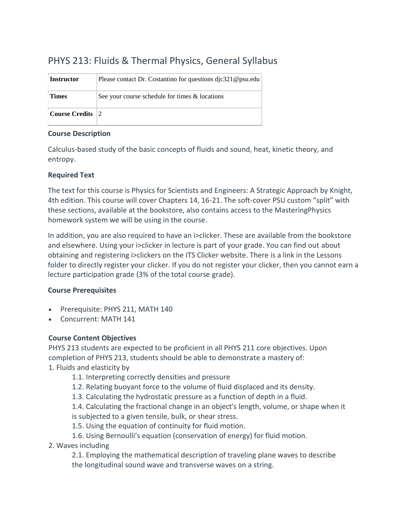### PHYS 213: Fluids & Thermal Physics, General Syllabus

| <b>Instructor</b>     | Please contact Dr. Costantino for questions dic321@psu.edu |
|-----------------------|------------------------------------------------------------|
| <b>Times</b>          | See your course schedule for times & locations             |
| <b>Course Credits</b> | $\vert 2 \rangle$                                          |

#### **Course Description**

Calculus-based study of the basic concepts of fluids and sound, heat, kinetic theory, and entropy.

#### **Required Text**

The text for this course is Physics for Scientists and Engineers: A Strategic Approach by Knight, 4th edition. This course will cover Chapters 14, 16-21. The soft-cover PSU custom "split" with these sections, available at the bookstore, also contains access to the MasteringPhysics homework system we will be using in the course.

In addition, you are also required to have an i>clicker. These are available from the bookstore and elsewhere. Using your i>clicker in lecture is part of your grade. You can find out about obtaining and registering i>clickers on the ITS Clicker website. There is a link in the Lessons folder to directly register your clicker. If you do not register your clicker, then you cannot earn a lecture participation grade (3% of the total course grade).

#### **Course Prerequisites**

- Prerequisite: PHYS 211, MATH 140
- Concurrent: MATH 141

#### **Course Content Objectives**

PHYS 213 students are expected to be proficient in all PHYS 211 core objectives. Upon completion of PHYS 213, students should be able to demonstrate a mastery of:

- 1. Fluids and elasticity by
	- 1.1. Interpreting correctly densities and pressure
	- 1.2. Relating buoyant force to the volume of fluid displaced and its density.
	- 1.3. Calculating the hydrostatic pressure as a function of depth in a fluid.
	- 1.4. Calculating the fractional change in an object's length, volume, or shape when it
	- is subjected to a given tensile, bulk, or shear stress.
	- 1.5. Using the equation of continuity for fluid motion.
	- 1.6. Using Bernoulli's equation (conservation of energy) for fluid motion.
- 2. Waves including

2.1. Employing the mathematical description of traveling plane waves to describe the longitudinal sound wave and transverse waves on a string.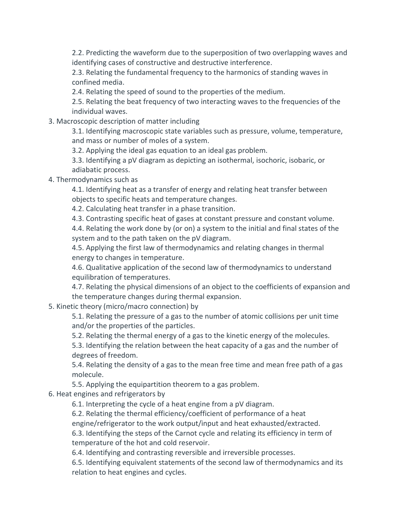2.2. Predicting the waveform due to the superposition of two overlapping waves and identifying cases of constructive and destructive interference.

2.3. Relating the fundamental frequency to the harmonics of standing waves in confined media.

2.4. Relating the speed of sound to the properties of the medium.

2.5. Relating the beat frequency of two interacting waves to the frequencies of the individual waves.

3. Macroscopic description of matter including

3.1. Identifying macroscopic state variables such as pressure, volume, temperature, and mass or number of moles of a system.

3.2. Applying the ideal gas equation to an ideal gas problem.

3.3. Identifying a pV diagram as depicting an isothermal, isochoric, isobaric, or adiabatic process.

4. Thermodynamics such as

4.1. Identifying heat as a transfer of energy and relating heat transfer between objects to specific heats and temperature changes.

4.2. Calculating heat transfer in a phase transition.

4.3. Contrasting specific heat of gases at constant pressure and constant volume.

4.4. Relating the work done by (or on) a system to the initial and final states of the system and to the path taken on the pV diagram.

4.5. Applying the first law of thermodynamics and relating changes in thermal energy to changes in temperature.

4.6. Qualitative application of the second law of thermodynamics to understand equilibration of temperatures.

4.7. Relating the physical dimensions of an object to the coefficients of expansion and the temperature changes during thermal expansion.

5. Kinetic theory (micro/macro connection) by

5.1. Relating the pressure of a gas to the number of atomic collisions per unit time and/or the properties of the particles.

5.2. Relating the thermal energy of a gas to the kinetic energy of the molecules.

5.3. Identifying the relation between the heat capacity of a gas and the number of degrees of freedom.

5.4. Relating the density of a gas to the mean free time and mean free path of a gas molecule.

5.5. Applying the equipartition theorem to a gas problem.

6. Heat engines and refrigerators by

6.1. Interpreting the cycle of a heat engine from a pV diagram.

6.2. Relating the thermal efficiency/coefficient of performance of a heat engine/refrigerator to the work output/input and heat exhausted/extracted.

6.3. Identifying the steps of the Carnot cycle and relating its efficiency in term of

temperature of the hot and cold reservoir.

6.4. Identifying and contrasting reversible and irreversible processes.

6.5. Identifying equivalent statements of the second law of thermodynamics and its relation to heat engines and cycles.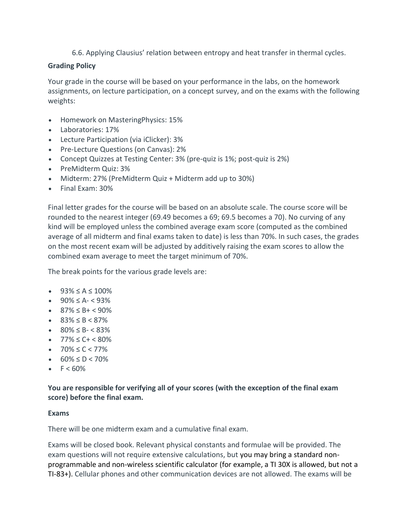6.6. Applying Clausius' relation between entropy and heat transfer in thermal cycles.

#### **Grading Policy**

Your grade in the course will be based on your performance in the labs, on the homework assignments, on lecture participation, on a concept survey, and on the exams with the following weights:

- Homework on MasteringPhysics: 15%
- Laboratories: 17%
- Lecture Participation (via iClicker): 3%
- Pre-Lecture Questions (on Canvas): 2%
- Concept Quizzes at Testing Center: 3% (pre-quiz is 1%; post-quiz is 2%)
- PreMidterm Quiz: 3%
- Midterm: 27% (PreMidterm Quiz + Midterm add up to 30%)
- Final Exam: 30%

Final letter grades for the course will be based on an absolute scale. The course score will be rounded to the nearest integer (69.49 becomes a 69; 69.5 becomes a 70). No curving of any kind will be employed unless the combined average exam score (computed as the combined average of all midterm and final exams taken to date) is less than 70%. In such cases, the grades on the most recent exam will be adjusted by additively raising the exam scores to allow the combined exam average to meet the target minimum of 70%.

The break points for the various grade levels are:

- $93\% \le A \le 100\%$
- $\bullet$  90%  $\leq$  A- $\leq$  93%
- $\bullet$  87%  $\leq$  B+  $\lt$  90%
- $\bullet$  83% < B < 87%
- $80\% \leq B \leq 83\%$
- $77\% \leq C + \leq 80\%$
- $70\% \le C < 77\%$
- $60\% \le D < 70\%$
- $F < 60\%$

**You are responsible for verifying all of your scores (with the exception of the final exam score) before the final exam.**

#### **Exams**

There will be one midterm exam and a cumulative final exam.

Exams will be closed book. Relevant physical constants and formulae will be provided. The exam questions will not require extensive calculations, but you may bring a standard nonprogrammable and non-wireless scientific calculator (for example, a TI 30X is allowed, but not a TI-83+). Cellular phones and other communication devices are not allowed. The exams will be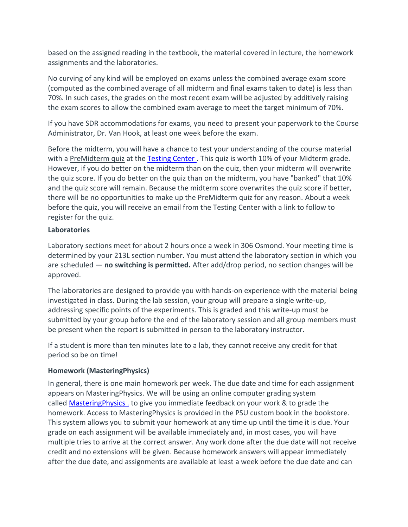based on the assigned reading in the textbook, the material covered in lecture, the homework assignments and the laboratories.

No curving of any kind will be employed on exams unless the combined average exam score (computed as the combined average of all midterm and final exams taken to date) is less than 70%. In such cases, the grades on the most recent exam will be adjusted by additively raising the exam scores to allow the combined exam average to meet the target minimum of 70%.

If you have SDR accommodations for exams, you need to present your paperwork to the Course Administrator, Dr. Van Hook, at least one week before the exam.

Before the midterm, you will have a chance to test your understanding of the course material with a PreMidterm quiz at the [Testing Center](http://testing.psu.edu/). This quiz is worth 10% of your Midterm grade. However, if you do better on the midterm than on the quiz, then your midterm will overwrite the quiz score. If you do better on the quiz than on the midterm, you have "banked" that 10% and the quiz score will remain. Because the midterm score overwrites the quiz score if better, there will be no opportunities to make up the PreMidterm quiz for any reason. About a week before the quiz, you will receive an email from the Testing Center with a link to follow to register for the quiz.

#### **Laboratories**

Laboratory sections meet for about 2 hours once a week in 306 Osmond. Your meeting time is determined by your 213L section number. You must attend the laboratory section in which you are scheduled — **no switching is permitted.** After add/drop period, no section changes will be approved.

The laboratories are designed to provide you with hands-on experience with the material being investigated in class. During the lab session, your group will prepare a single write-up, addressing specific points of the experiments. This is graded and this write-up must be submitted by your group before the end of the laboratory session and all group members must be present when the report is submitted in person to the laboratory instructor.

If a student is more than ten minutes late to a lab, they cannot receive any credit for that period so be on time!

#### **Homework (MasteringPhysics)**

In general, there is one main homework per week. The due date and time for each assignment appears on MasteringPhysics. We will be using an online computer grading system called [MasteringPhysics](https://www.pearsonmylabandmastering.com/) . to give you immediate feedback on your work & to grade the homework. Access to MasteringPhysics is provided in the PSU custom book in the bookstore. This system allows you to submit your homework at any time up until the time it is due. Your grade on each assignment will be available immediately and, in most cases, you will have multiple tries to arrive at the correct answer. Any work done after the due date will not receive credit and no extensions will be given. Because homework answers will appear immediately after the due date, and assignments are available at least a week before the due date and can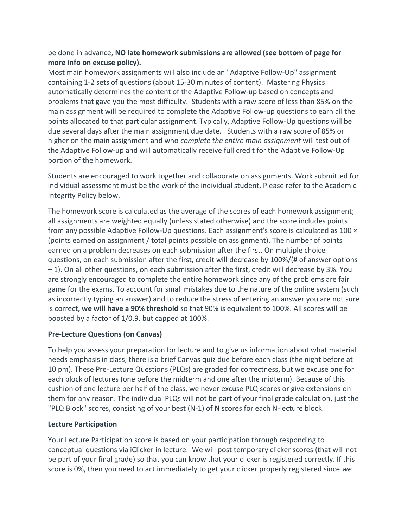#### be done in advance, **NO late homework submissions are allowed (see bottom of page for more info on excuse policy).**

Most main homework assignments will also include an "Adaptive Follow-Up" assignment containing 1-2 sets of questions (about 15-30 minutes of content). Mastering Physics automatically determines the content of the Adaptive Follow-up based on concepts and problems that gave you the most difficulty. Students with a raw score of less than 85% on the main assignment will be required to complete the Adaptive Follow-up questions to earn all the points allocated to that particular assignment. Typically, Adaptive Follow-Up questions will be due several days after the main assignment due date. Students with a raw score of 85% or higher on the main assignment and who *complete the entire main assignment* will test out of the Adaptive Follow-up and will automatically receive full credit for the Adaptive Follow-Up portion of the homework.

Students are encouraged to work together and collaborate on assignments. Work submitted for individual assessment must be the work of the individual student. Please refer to the Academic Integrity Policy below.

The homework score is calculated as the average of the scores of each homework assignment; all assignments are weighted equally (unless stated otherwise) and the score includes points from any possible Adaptive Follow-Up questions. Each assignment's score is calculated as 100 × (points earned on assignment / total points possible on assignment). The number of points earned on a problem decreases on each submission after the first. On multiple choice questions, on each submission after the first, credit will decrease by 100%/(# of answer options – 1). On all other questions, on each submission after the first, credit will decrease by 3%. You are strongly encouraged to complete the entire homework since any of the problems are fair game for the exams. To account for small mistakes due to the nature of the online system (such as incorrectly typing an answer) and to reduce the stress of entering an answer you are not sure is correct**, we will have a 90% threshold** so that 90% is equivalent to 100%. All scores will be boosted by a factor of 1/0.9, but capped at 100%.

#### **Pre-Lecture Questions (on Canvas)**

To help you assess your preparation for lecture and to give us information about what material needs emphasis in class, there is a brief Canvas quiz due before each class (the night before at 10 pm). These Pre-Lecture Questions (PLQs) are graded for correctness, but we excuse one for each block of lectures (one before the midterm and one after the midterm). Because of this cushion of one lecture per half of the class, we never excuse PLQ scores or give extensions on them for any reason. The individual PLQs will not be part of your final grade calculation, just the "PLQ Block" scores, consisting of your best (N-1) of N scores for each N-lecture block.

#### **Lecture Participation**

Your Lecture Participation score is based on your participation through responding to conceptual questions via iClicker in lecture. We will post temporary clicker scores (that will not be part of your final grade) so that you can know that your clicker is registered correctly. If this score is 0%, then you need to act immediately to get your clicker properly registered since *we*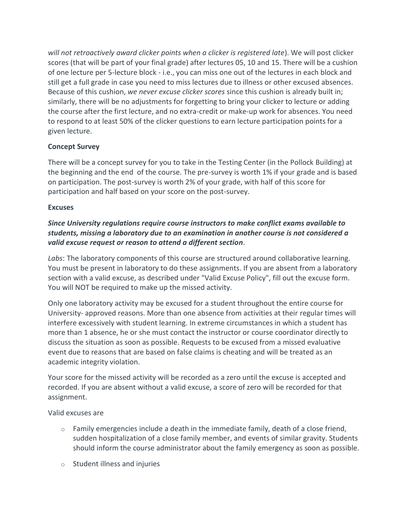*will not retroactively award clicker points when a clicker is registered late*). We will post clicker scores (that will be part of your final grade) after lectures 05, 10 and 15. There will be a cushion of one lecture per 5-lecture block - i.e., you can miss one out of the lectures in each block and still get a full grade in case you need to miss lectures due to illness or other excused absences. Because of this cushion, *we never excuse clicker scores* since this cushion is already built in; similarly, there will be no adjustments for forgetting to bring your clicker to lecture or adding the course after the first lecture, and no extra-credit or make-up work for absences. You need to respond to at least 50% of the clicker questions to earn lecture participation points for a given lecture.

#### **Concept Survey**

There will be a concept survey for you to take in the Testing Center (in the Pollock Building) at the beginning and the end of the course. The pre-survey is worth 1% if your grade and is based on participation. The post-survey is worth 2% of your grade, with half of this score for participation and half based on your score on the post-survey.

#### **Excuses**

#### *Since University regulations require course instructors to make conflict exams available to students, missing a laboratory due to an examination in another course is not considered a valid excuse request or reason to attend a different section*.

*Labs*: The laboratory components of this course are structured around collaborative learning. You must be present in laboratory to do these assignments. If you are absent from a laboratory section with a valid excuse, as described under "Valid Excuse Policy", fill out the excuse form. You will NOT be required to make up the missed activity.

Only one laboratory activity may be excused for a student throughout the entire course for University- approved reasons. More than one absence from activities at their regular times will interfere excessively with student learning. In extreme circumstances in which a student has more than 1 absence, he or she must contact the instructor or course coordinator directly to discuss the situation as soon as possible. Requests to be excused from a missed evaluative event due to reasons that are based on false claims is cheating and will be treated as an academic integrity violation.

Your score for the missed activity will be recorded as a zero until the excuse is accepted and recorded. If you are absent without a valid excuse, a score of zero will be recorded for that assignment.

#### Valid excuses are

- $\circ$  Family emergencies include a death in the immediate family, death of a close friend, sudden hospitalization of a close family member, and events of similar gravity. Students should inform the course administrator about the family emergency as soon as possible.
- o Student illness and injuries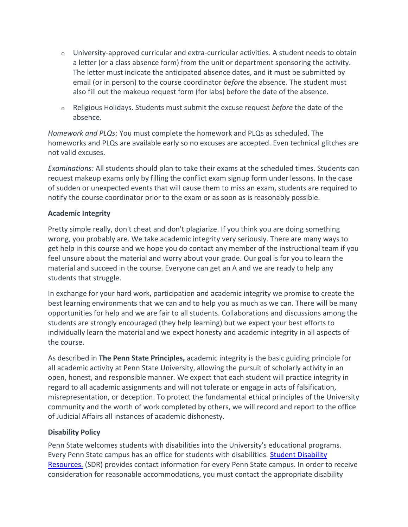- $\circ$  University-approved curricular and extra-curricular activities. A student needs to obtain a letter (or a class absence form) from the unit or department sponsoring the activity. The letter must indicate the anticipated absence dates, and it must be submitted by email (or in person) to the course coordinator *before* the absence. The student must also fill out the makeup request form (for labs) before the date of the absence.
- o Religious Holidays. Students must submit the excuse request *before* the date of the absence.

*Homework and PLQs*: You must complete the homework and PLQs as scheduled. The homeworks and PLQs are available early so no excuses are accepted. Even technical glitches are not valid excuses.

*Examinations:* All students should plan to take their exams at the scheduled times. Students can request makeup exams only by filling the conflict exam signup form under lessons. In the case of sudden or unexpected events that will cause them to miss an exam, students are required to notify the course coordinator prior to the exam or as soon as is reasonably possible.

#### **Academic Integrity**

Pretty simple really, don't cheat and don't plagiarize. If you think you are doing something wrong, you probably are. We take academic integrity very seriously. There are many ways to get help in this course and we hope you do contact any member of the instructional team if you feel unsure about the material and worry about your grade. Our goal is for you to learn the material and succeed in the course. Everyone can get an A and we are ready to help any students that struggle.

In exchange for your hard work, participation and academic integrity we promise to create the best learning environments that we can and to help you as much as we can. There will be many opportunities for help and we are fair to all students. Collaborations and discussions among the students are strongly encouraged (they help learning) but we expect your best efforts to individually learn the material and we expect honesty and academic integrity in all aspects of the course.

As described in **The Penn State Principles,** academic integrity is the basic guiding principle for all academic activity at Penn State University, allowing the pursuit of scholarly activity in an open, honest, and responsible manner. We expect that each student will practice integrity in regard to all academic assignments and will not tolerate or engage in acts of falsification, misrepresentation, or deception. To protect the fundamental ethical principles of the University community and the worth of work completed by others, we will record and report to the office of Judicial Affairs all instances of academic dishonesty.

#### **Disability Policy**

Penn State welcomes students with disabilities into the University's educational programs. Every Penn State campus has an office for students with disabilities. [Student Disability](http://equity.psu.edu/sdr)  [Resources.](http://equity.psu.edu/sdr) (SDR) provides contact information for every Penn State campus. In order to receive consideration for reasonable accommodations, you must contact the appropriate disability